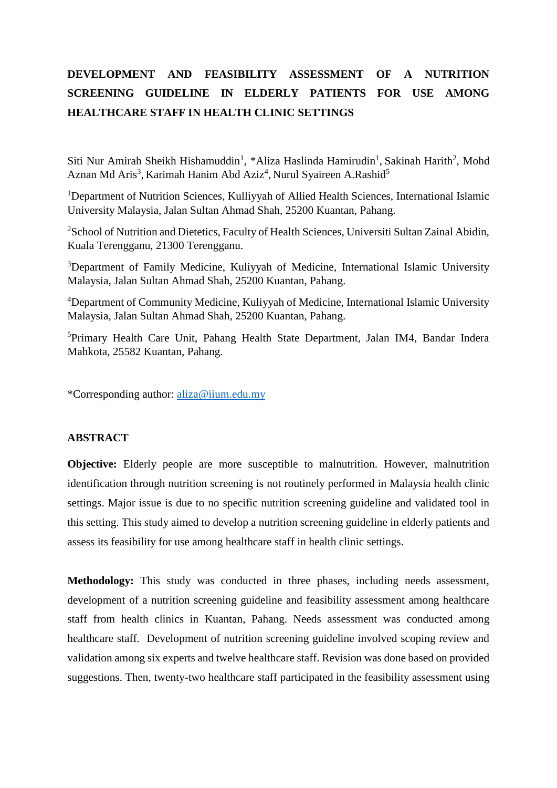## **DEVELOPMENT AND FEASIBILITY ASSESSMENT OF A NUTRITION SCREENING GUIDELINE IN ELDERLY PATIENTS FOR USE AMONG HEALTHCARE STAFF IN HEALTH CLINIC SETTINGS**

Siti Nur Amirah Sheikh Hishamuddin<sup>1</sup>, \*Aliza Haslinda Hamirudin<sup>1</sup>, Sakinah Harith<sup>2</sup>, Mohd Aznan Md Aris<sup>3</sup>, Karimah Hanim Abd Aziz<sup>4</sup>, Nurul Syaireen A.Rashid<sup>5</sup>

<sup>1</sup>Department of Nutrition Sciences, Kulliyyah of Allied Health Sciences, International Islamic University Malaysia, Jalan Sultan Ahmad Shah, 25200 Kuantan, Pahang.

<sup>2</sup>School of Nutrition and Dietetics, Faculty of Health Sciences, Universiti Sultan Zainal Abidin, Kuala Terengganu, 21300 Terengganu.

<sup>3</sup>Department of Family Medicine, Kuliyyah of Medicine, International Islamic University Malaysia, Jalan Sultan Ahmad Shah, 25200 Kuantan, Pahang.

<sup>4</sup>Department of Community Medicine, Kuliyyah of Medicine, International Islamic University Malaysia, Jalan Sultan Ahmad Shah, 25200 Kuantan, Pahang.

<sup>5</sup>Primary Health Care Unit, Pahang Health State Department, Jalan IM4, Bandar Indera Mahkota, 25582 Kuantan, Pahang.

\*Corresponding author: [aliza@iium.edu.my](mailto:aliza@iium.edu.my)

## **ABSTRACT**

**Objective:** Elderly people are more susceptible to malnutrition. However, malnutrition identification through nutrition screening is not routinely performed in Malaysia health clinic settings. Major issue is due to no specific nutrition screening guideline and validated tool in this setting. This study aimed to develop a nutrition screening guideline in elderly patients and assess its feasibility for use among healthcare staff in health clinic settings.

**Methodology:** This study was conducted in three phases, including needs assessment, development of a nutrition screening guideline and feasibility assessment among healthcare staff from health clinics in Kuantan, Pahang. Needs assessment was conducted among healthcare staff. Development of nutrition screening guideline involved scoping review and validation among six experts and twelve healthcare staff. Revision was done based on provided suggestions. Then, twenty-two healthcare staff participated in the feasibility assessment using